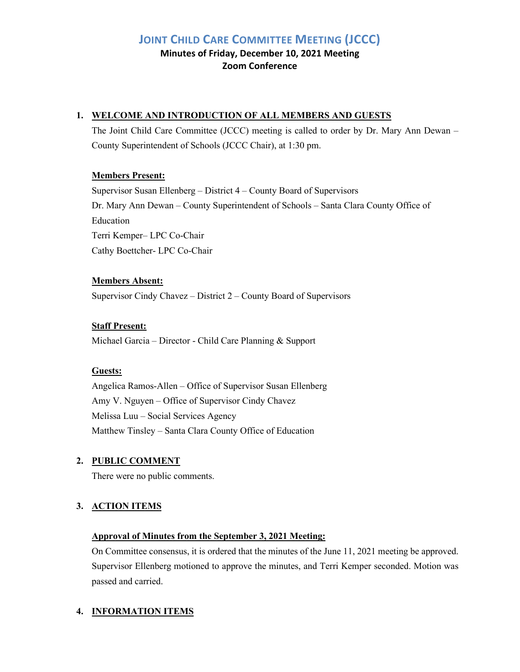# **JOINT CHILD CARE COMMITTEE MEETING (JCCC)**

**Minutes of Friday, December 10, 2021 Meeting Zoom Conference**

# **1. WELCOME AND INTRODUCTION OF ALL MEMBERS AND GUESTS**

The Joint Child Care Committee (JCCC) meeting is called to order by Dr. Mary Ann Dewan – County Superintendent of Schools (JCCC Chair), at 1:30 pm.

# **Members Present:**

Supervisor Susan Ellenberg – District 4 – County Board of Supervisors Dr. Mary Ann Dewan – County Superintendent of Schools – Santa Clara County Office of Education Terri Kemper– LPC Co-Chair Cathy Boettcher- LPC Co-Chair

# **Members Absent:**

Supervisor Cindy Chavez – District 2 – County Board of Supervisors

# **Staff Present:**

Michael Garcia – Director - Child Care Planning & Support

# **Guests:**

Angelica Ramos-Allen – Office of Supervisor Susan Ellenberg Amy V. Nguyen – Office of Supervisor Cindy Chavez Melissa Luu – Social Services Agency Matthew Tinsley – Santa Clara County Office of Education

# **2. PUBLIC COMMENT**

There were no public comments.

# **3. ACTION ITEMS**

# **Approval of Minutes from the September 3, 2021 Meeting:**

On Committee consensus, it is ordered that the minutes of the June 11, 2021 meeting be approved. Supervisor Ellenberg motioned to approve the minutes, and Terri Kemper seconded. Motion was passed and carried.

# **4. INFORMATION ITEMS**